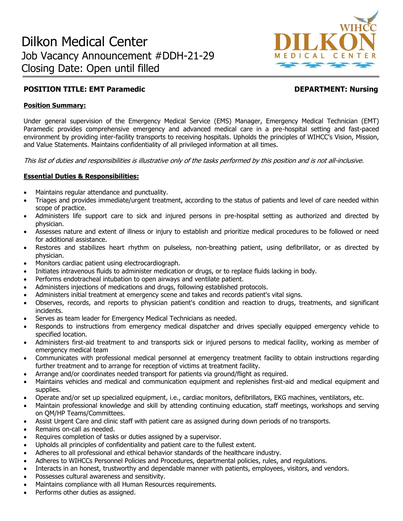

# **POSITION TITLE: EMT Paramedic Community Construction Community Construction Position Properties Community Position Position Properties Area and Position Position Position Position Position Position Position Position Posit**

### **Position Summary:**

Under general supervision of the Emergency Medical Service (EMS) Manager, Emergency Medical Technician (EMT) Paramedic provides comprehensive emergency and advanced medical care in a pre-hospital setting and fast-paced environment by providing inter-facility transports to receiving hospitals. Upholds the principles of WIHCC's Vision, Mission, and Value Statements. Maintains confidentiality of all privileged information at all times.

This list of duties and responsibilities is illustrative only of the tasks performed by this position and is not all-inclusive.

## **Essential Duties & Responsibilities:**

- Maintains regular attendance and punctuality.
- Triages and provides immediate/urgent treatment, according to the status of patients and level of care needed within scope of practice.
- Administers life support care to sick and injured persons in pre-hospital setting as authorized and directed by physician.
- Assesses nature and extent of illness or injury to establish and prioritize medical procedures to be followed or need for additional assistance.
- Restores and stabilizes heart rhythm on pulseless, non-breathing patient, using defibrillator, or as directed by physician.
- Monitors cardiac patient using electrocardiograph.
- Initiates intravenous fluids to administer medication or drugs, or to replace fluids lacking in body.
- Performs endotracheal intubation to open airways and ventilate patient.
- Administers injections of medications and drugs, following established protocols.
- Administers initial treatment at emergency scene and takes and records patient's vital signs.
- Observes, records, and reports to physician patient's condition and reaction to drugs, treatments, and significant incidents.
- Serves as team leader for Emergency Medical Technicians as needed.
- Responds to instructions from emergency medical dispatcher and drives specially equipped emergency vehicle to specified location.
- Administers first-aid treatment to and transports sick or injured persons to medical facility, working as member of emergency medical team
- Communicates with professional medical personnel at emergency treatment facility to obtain instructions regarding further treatment and to arrange for reception of victims at treatment facility.
- Arrange and/or coordinates needed transport for patients via ground/flight as required.
- Maintains vehicles and medical and communication equipment and replenishes first-aid and medical equipment and supplies.
- Operate and/or set up specialized equipment, i.e., cardiac monitors, defibrillators, EKG machines, ventilators, etc.
- Maintain professional knowledge and skill by attending continuing education, staff meetings, workshops and serving on QM/HP Teams/Committees.
- Assist Urgent Care and clinic staff with patient care as assigned during down periods of no transports.
- Remains on-call as needed.
- Requires completion of tasks or duties assigned by a supervisor.
- Upholds all principles of confidentiality and patient care to the fullest extent.
- Adheres to all professional and ethical behavior standards of the healthcare industry.
- Adheres to WIHCCs Personnel Policies and Procedures, departmental policies, rules, and regulations.
- Interacts in an honest, trustworthy and dependable manner with patients, employees, visitors, and vendors.
- Possesses cultural awareness and sensitivity.
- Maintains compliance with all Human Resources requirements.
- Performs other duties as assigned.